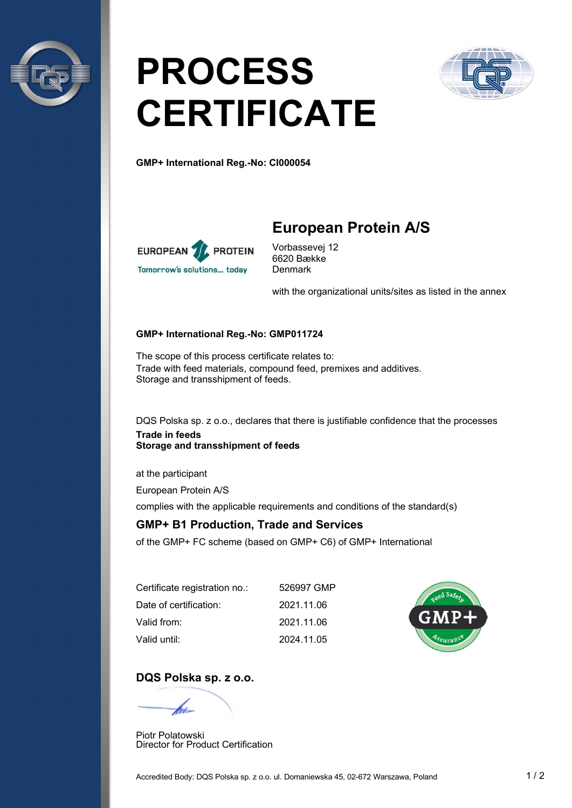

# PROCESS **CERTIFICATE**



GMP+ International Reg.-No: CI000054



## European Protein A/S

Vorbassevej 12 6620 Bække **Denmark** 

with the organizational units/sites as listed in the annex

#### GMP+ International Reg.-No: GMP011724

The scope of this process certificate relates to: Trade with feed materials, compound feed, premixes and additives. Storage and transshipment of feeds.

DQS Polska sp. z o.o., declares that there is justifiable confidence that the processes Trade in feeds Storage and transshipment of feeds

at the participant

European Protein A/S

complies with the applicable requirements and conditions of the standard(s)

#### GMP+ B1 Production, Trade and Services

of the GMP+ FC scheme (based on GMP+ C6) of GMP+ International

| Certificate registration no.: | 526997 GMP |
|-------------------------------|------------|
| Date of certification:        | 2021.11.06 |
| Valid from:                   | 2021.11.06 |
| Valid until:                  | 2024.11.05 |



#### DQS Polska sp. z o.o.

Piotr Polatowski Director for Product Certification